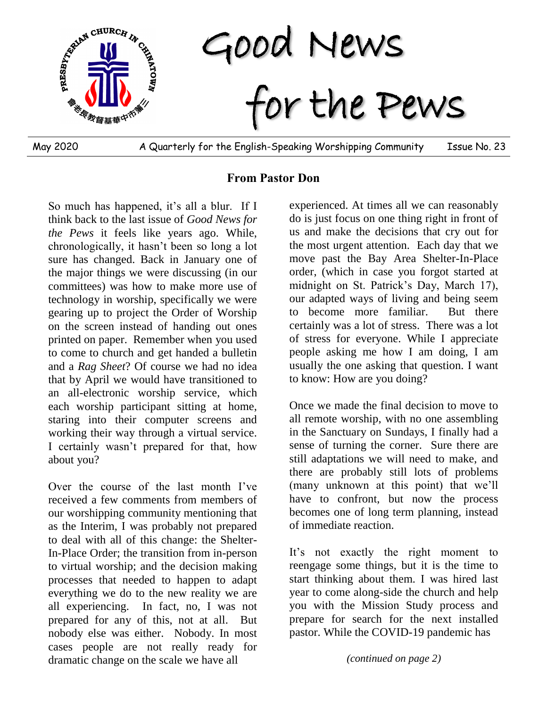

May 2020 A Quarterly for the English-Speaking Worshipping Community Issue No. 23

## **From Pastor Don**

So much has happened, it's all a blur. If I think back to the last issue of *Good News for the Pews* it feels like years ago. While, chronologically, it hasn't been so long a lot sure has changed. Back in January one of the major things we were discussing (in our committees) was how to make more use of technology in worship, specifically we were gearing up to project the Order of Worship on the screen instead of handing out ones printed on paper. Remember when you used to come to church and get handed a bulletin and a *Rag Sheet*? Of course we had no idea that by April we would have transitioned to an all-electronic worship service, which each worship participant sitting at home, staring into their computer screens and working their way through a virtual service. I certainly wasn't prepared for that, how about you?

Over the course of the last month I've received a few comments from members of our worshipping community mentioning that as the Interim, I was probably not prepared to deal with all of this change: the Shelter-In-Place Order; the transition from in-person to virtual worship; and the decision making processes that needed to happen to adapt everything we do to the new reality we are all experiencing. In fact, no, I was not prepared for any of this, not at all. But nobody else was either. Nobody. In most cases people are not really ready for dramatic change on the scale we have all

experienced. At times all we can reasonably do is just focus on one thing right in front of us and make the decisions that cry out for the most urgent attention. Each day that we move past the Bay Area Shelter-In-Place order, (which in case you forgot started at midnight on St. Patrick's Day, March 17), our adapted ways of living and being seem to become more familiar. But there certainly was a lot of stress. There was a lot of stress for everyone. While I appreciate people asking me how I am doing, I am usually the one asking that question. I want to know: How are you doing?

Once we made the final decision to move to all remote worship, with no one assembling in the Sanctuary on Sundays, I finally had a sense of turning the corner. Sure there are still adaptations we will need to make, and there are probably still lots of problems (many unknown at this point) that we'll have to confront, but now the process becomes one of long term planning, instead of immediate reaction.

It's not exactly the right moment to reengage some things, but it is the time to start thinking about them. I was hired last year to come along-side the church and help you with the Mission Study process and prepare for search for the next installed pastor. While the COVID-19 pandemic has

*(continued on page 2)*